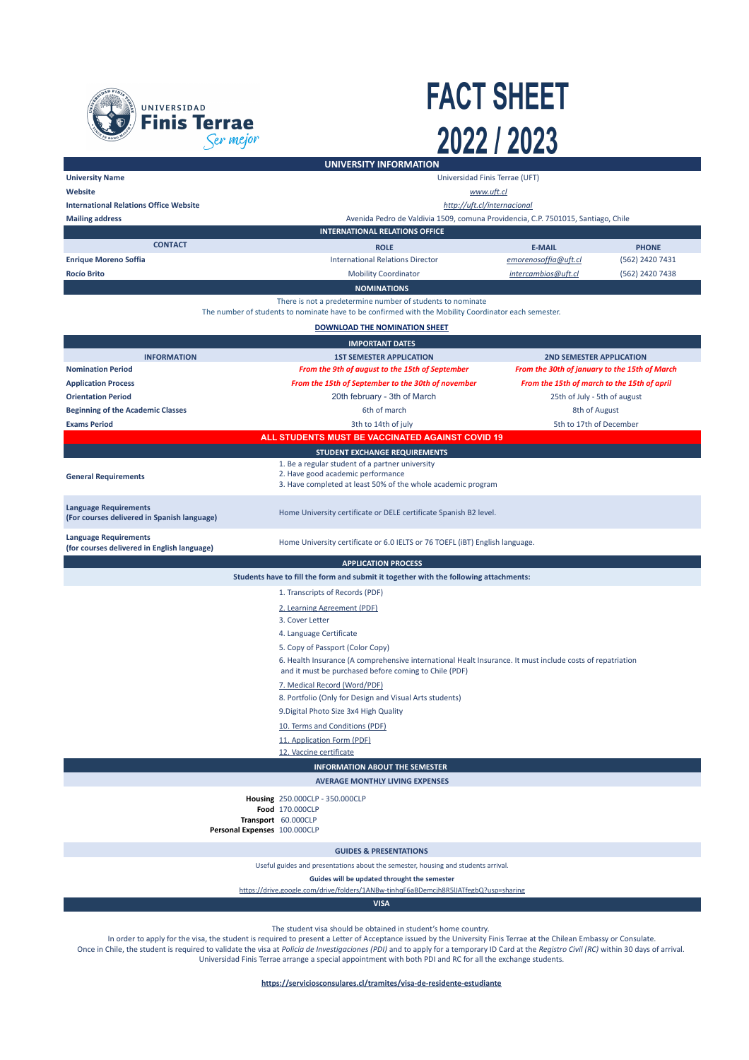

## **FACT SHEET** 2022 / 2023

|                                                                                                                                                                    | UNIVERSITY INFORMATION                                                                                                                                             |                                               |                 |  |
|--------------------------------------------------------------------------------------------------------------------------------------------------------------------|--------------------------------------------------------------------------------------------------------------------------------------------------------------------|-----------------------------------------------|-----------------|--|
| <b>University Name</b><br>Universidad Finis Terrae (UFT)                                                                                                           |                                                                                                                                                                    |                                               |                 |  |
| Website                                                                                                                                                            | www.uft.cl                                                                                                                                                         |                                               |                 |  |
| <b>International Relations Office Website</b>                                                                                                                      | http://uft.cl/internacional                                                                                                                                        |                                               |                 |  |
| <b>Mailing address</b>                                                                                                                                             | Avenida Pedro de Valdivia 1509, comuna Providencia, C.P. 7501015, Santiago, Chile                                                                                  |                                               |                 |  |
|                                                                                                                                                                    | <b>INTERNATIONAL RELATIONS OFFICE</b>                                                                                                                              |                                               |                 |  |
| <b>CONTACT</b>                                                                                                                                                     |                                                                                                                                                                    |                                               |                 |  |
|                                                                                                                                                                    | <b>ROLE</b>                                                                                                                                                        | <b>E-MAIL</b>                                 | <b>PHONE</b>    |  |
| <b>Enrique Moreno Soffia</b>                                                                                                                                       | <b>International Relations Director</b>                                                                                                                            | emorenosoffia@uft.cl                          | (562) 2420 7431 |  |
| <b>Rocío Brito</b>                                                                                                                                                 | <b>Mobility Coordinator</b>                                                                                                                                        | intercambios@uft.cl                           | (562) 2420 7438 |  |
|                                                                                                                                                                    | <b>NOMINATIONS</b>                                                                                                                                                 |                                               |                 |  |
| There is not a predetermine number of students to nominate<br>The number of students to nominate have to be confirmed with the Mobility Coordinator each semester. |                                                                                                                                                                    |                                               |                 |  |
| DOWNLOAD THE NOMINATION SHEET                                                                                                                                      |                                                                                                                                                                    |                                               |                 |  |
| <b>IMPORTANT DATES</b>                                                                                                                                             |                                                                                                                                                                    |                                               |                 |  |
| <b>INFORMATION</b>                                                                                                                                                 | <b>1ST SEMESTER APPLICATION</b>                                                                                                                                    | <b>2ND SEMESTER APPLICATION</b>               |                 |  |
| <b>Nomination Period</b>                                                                                                                                           | From the 9th of august to the 15th of September                                                                                                                    | From the 30th of january to the 15th of March |                 |  |
| <b>Application Process</b>                                                                                                                                         | From the 15th of September to the 30th of november                                                                                                                 | From the 15th of march to the 15th of april   |                 |  |
| <b>Orientation Period</b>                                                                                                                                          | 20th february - 3th of March                                                                                                                                       | 25th of July - 5th of august                  |                 |  |
| <b>Beginning of the Academic Classes</b>                                                                                                                           | 6th of march                                                                                                                                                       | 8th of August                                 |                 |  |
|                                                                                                                                                                    |                                                                                                                                                                    |                                               |                 |  |
| <b>Exams Period</b>                                                                                                                                                | 3th to 14th of july                                                                                                                                                | 5th to 17th of December                       |                 |  |
|                                                                                                                                                                    | ALL STUDENTS MUST BE VACCINATED AGAINST COVID 19                                                                                                                   |                                               |                 |  |
|                                                                                                                                                                    | STUDENT EXCHANGE REQUIREMENTS                                                                                                                                      |                                               |                 |  |
| <b>General Requirements</b>                                                                                                                                        | 1. Be a regular student of a partner university<br>2. Have good academic performance<br>3. Have completed at least 50% of the whole academic program               |                                               |                 |  |
| <b>Language Requirements</b><br>(For courses delivered in Spanish language)                                                                                        | Home University certificate or DELE certificate Spanish B2 level.                                                                                                  |                                               |                 |  |
| <b>Language Requirements</b><br>(for courses delivered in English language)                                                                                        | Home University certificate or 6.0 IELTS or 76 TOEFL (iBT) English language.                                                                                       |                                               |                 |  |
|                                                                                                                                                                    | <b>APPLICATION PROCESS</b>                                                                                                                                         |                                               |                 |  |
|                                                                                                                                                                    | Students have to fill the form and submit it together with the following attachments:                                                                              |                                               |                 |  |
|                                                                                                                                                                    |                                                                                                                                                                    |                                               |                 |  |
|                                                                                                                                                                    | 1. Transcripts of Records (PDF)                                                                                                                                    |                                               |                 |  |
|                                                                                                                                                                    | 2. Learning Agreement (PDF)                                                                                                                                        |                                               |                 |  |
|                                                                                                                                                                    | 3. Cover Letter                                                                                                                                                    |                                               |                 |  |
|                                                                                                                                                                    | 4. Language Certificate                                                                                                                                            |                                               |                 |  |
|                                                                                                                                                                    | 5. Copy of Passport (Color Copy)                                                                                                                                   |                                               |                 |  |
|                                                                                                                                                                    | 6. Health Insurance (A comprehensive international Healt Insurance. It must include costs of repatriation<br>and it must be purchased before coming to Chile (PDF) |                                               |                 |  |
| 7. Medical Record (Word/PDF)                                                                                                                                       |                                                                                                                                                                    |                                               |                 |  |
|                                                                                                                                                                    | 8. Portfolio (Only for Design and Visual Arts students)                                                                                                            |                                               |                 |  |
|                                                                                                                                                                    | 9. Digital Photo Size 3x4 High Quality                                                                                                                             |                                               |                 |  |
|                                                                                                                                                                    |                                                                                                                                                                    |                                               |                 |  |
|                                                                                                                                                                    | 10. Terms and Conditions (PDF)                                                                                                                                     |                                               |                 |  |
|                                                                                                                                                                    | 11. Application Form (PDF)                                                                                                                                         |                                               |                 |  |
|                                                                                                                                                                    | 12. Vaccine certificate                                                                                                                                            |                                               |                 |  |
| <b>INFORMATION ABOUT THE SEMESTER</b>                                                                                                                              |                                                                                                                                                                    |                                               |                 |  |
|                                                                                                                                                                    | <b>AVERAGE MONTHLY LIVING EXPENSES</b>                                                                                                                             |                                               |                 |  |
| Housing 250.000CLP - 350.000CLP<br>Food 170.000CLP<br>Transport 60.000CLP<br>Personal Expenses 100.000CLP                                                          |                                                                                                                                                                    |                                               |                 |  |
| <b>GUIDES &amp; PRESENTATIONS</b>                                                                                                                                  |                                                                                                                                                                    |                                               |                 |  |
| Useful guides and presentations about the semester, housing and students arrival.                                                                                  |                                                                                                                                                                    |                                               |                 |  |
| Guides will be updated throught the semester                                                                                                                       |                                                                                                                                                                    |                                               |                 |  |
| https://drive.google.com/drive/folders/1ANBw-tinhqF6aBDemcjh8R5IJATfegbQ?usp=sharing                                                                               |                                                                                                                                                                    |                                               |                 |  |
| <b>VISA</b>                                                                                                                                                        |                                                                                                                                                                    |                                               |                 |  |

The student visa should be obtained in student's home country.

In order to apply for the visa, the student is required to present a Letter of Acceptance issued by the University Finis Terrae at the Chilean Embassy or Consulate. Once in Chile, the student is required to validate the visa at *Policía de Investigaciones (PDI)* and to apply for a temporary ID Card at the *Registro Civil (RC)* within 30 days of arrival. Universidad Finis Terrae arrange a special appointment with both PDI and RC for all the exchange students.

**<https://serviciosconsulares.cl/tramites/visa-de-residente-estudiante>**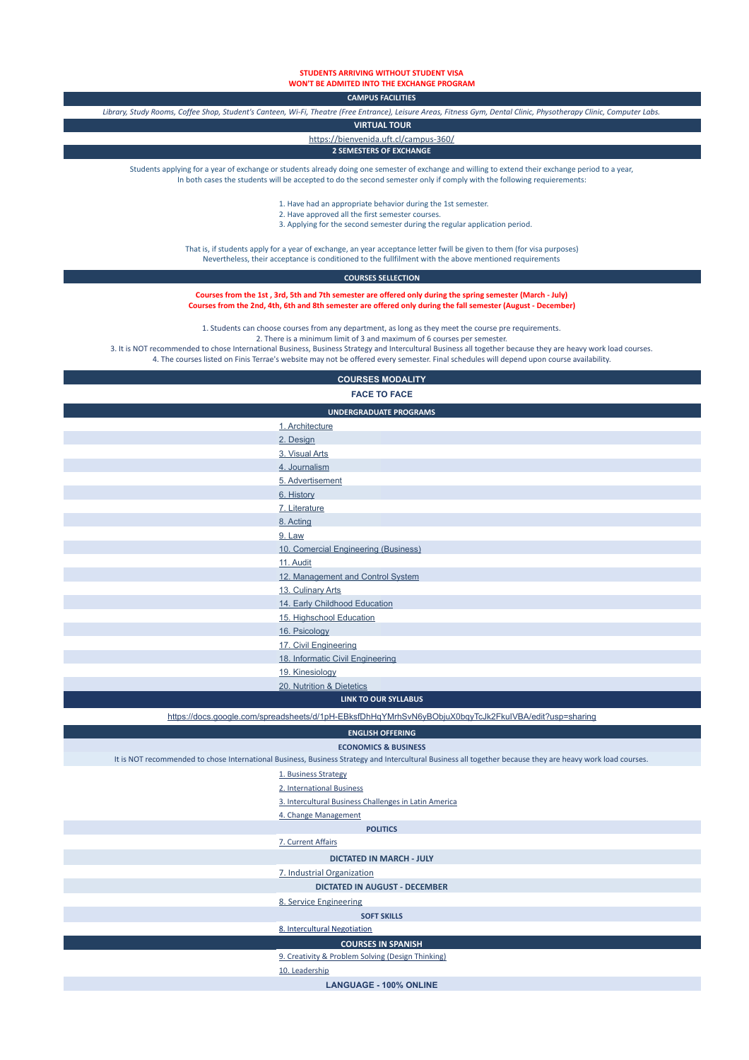**STUDENTS ARRIVING WITHOUT STUDENT VISA WON'T BE ADMITED INTO THE EXCHANGE PROGRAM**

**CAMPUS FACILITIES**

*Library, Study Rooms, Coffee Shop, Student's Canteen, Wi-Fi, Theatre (Free Entrance), Leisure Areas, Fitness Gym, Dental Clinic, Physotherapy Clinic, Computer Labs.*

 **VIRTUAL TOUR**

<https://bienvenida.uft.cl/campus-360/>

**2 SEMESTERS OF EXCHANGE**

Students applying for a year of exchange or students already doing one semester of exchange and willing to extend their exchange period to a year, In both cases the students will be accepted to do the second semester only if comply with the following requierements:

- 1. Have had an appropriate behavior during the 1st semester.
- 2. Have approved all the first semester courses.
- 3. Applying for the second semester during the regular application period.

That is, if students apply for a year of exchange, an year acceptance letter fwill be given to them (for visa purposes) Nevertheless, their acceptance is conditioned to the fullfilment with the above mentioned requirements

## **COURSES SELLECTION**

**Courses from the 1st , 3rd, 5th and 7th semester are offered only during the spring semester (March - July) Courses from the 2nd, 4th, 6th and 8th semester are offered only during the fall semester (August - December)**

1. Students can choose courses from any department, as long as they meet the course pre requirements.

2. There is a minimum limit of 3 and maximum of 6 courses per semester.

3. It is NOT recommended to chose International Business, Business Strategy and Intercultural Business all together because they are heavy work load courses.

4. The courses listed on Finis Terrae's website may not be offered every semester. Final schedules will depend upon course availability.

## **COURSES MODALITY FACE TO FACE**

| <b>FACE TO FACE</b>                  |  |  |
|--------------------------------------|--|--|
| <b>UNDERGRADUATE PROGRAMS</b>        |  |  |
| 1. Architecture                      |  |  |
| 2. Design                            |  |  |
| 3. Visual Arts                       |  |  |
| 4. Journalism                        |  |  |
| 5. Advertisement                     |  |  |
| 6. History                           |  |  |
| 7. Literature                        |  |  |
| 8. Acting                            |  |  |
| 9. Law                               |  |  |
| 10. Comercial Engineering (Business) |  |  |
| 11. Audit                            |  |  |
| 12. Management and Control System    |  |  |
| 13. Culinary Arts                    |  |  |
| 14. Early Childhood Education        |  |  |
| 15. Highschool Education             |  |  |
| 16. Psicology                        |  |  |
| 17. Civil Engineering                |  |  |
| 18. Informatic Civil Engineering     |  |  |
| 19. Kinesiology                      |  |  |
| 20. Nutrition & Dietetics            |  |  |
| <b>LINK TO OUR SYLLABUS</b>          |  |  |

[https://docs.google.com/spreadsheets/d/1pH-EBksfDhHqYMrhSvN6yBObjuX0bqyTcJk2FkuIVBA/edit?usp=sharing](https://docs.google.com/spreadsheets/d/1Rsr9agq_0Wm-q613Q5el08jq0E9gDNmFyJ7nvxzJg6A/edit?usp=sharing)

| <b>ENGLISH OFFERING</b>         |                                                                                                                                                            |  |  |
|---------------------------------|------------------------------------------------------------------------------------------------------------------------------------------------------------|--|--|
| <b>ECONOMICS &amp; BUSINESS</b> |                                                                                                                                                            |  |  |
|                                 | It is NOT recommended to chose International Business, Business Strategy and Intercultural Business all together because they are heavy work load courses. |  |  |
|                                 | 1. Business Strategy                                                                                                                                       |  |  |
|                                 | 2. International Business                                                                                                                                  |  |  |
|                                 | 3. Intercultural Business Challenges in Latin America                                                                                                      |  |  |
|                                 | 4. Change Management                                                                                                                                       |  |  |
| <b>POLITICS</b>                 |                                                                                                                                                            |  |  |
|                                 | 7. Current Affairs                                                                                                                                         |  |  |
| <b>DICTATED IN MARCH - JULY</b> |                                                                                                                                                            |  |  |
|                                 | 7. Industrial Organization                                                                                                                                 |  |  |
|                                 | <b>DICTATED IN AUGUST - DECEMBER</b>                                                                                                                       |  |  |
|                                 | 8. Service Engineering                                                                                                                                     |  |  |
| <b>SOFT SKILLS</b>              |                                                                                                                                                            |  |  |
|                                 | 8. Intercultural Negotiation                                                                                                                               |  |  |
| <b>COURSES IN SPANISH</b>       |                                                                                                                                                            |  |  |
|                                 | 9. Creativity & Problem Solving (Design Thinking)                                                                                                          |  |  |
|                                 | 10. Leadership                                                                                                                                             |  |  |
|                                 | <b>LANGUAGE - 100% ONLINE</b>                                                                                                                              |  |  |